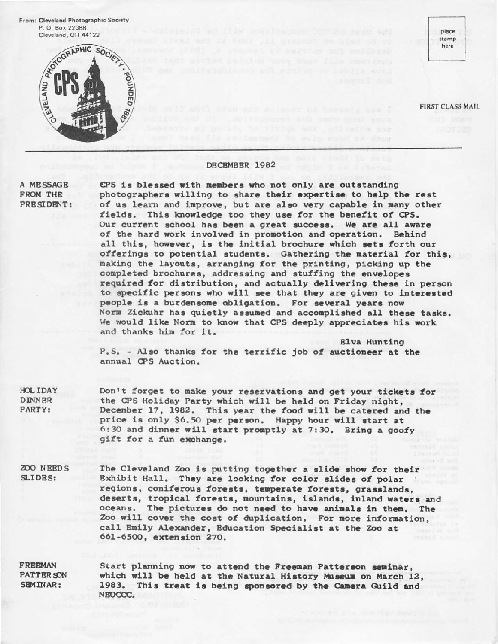From: Cleveland Photographic Society P.O. Box 22388 Cleveland, OH 44122



place stamp here

**FIRST CLASS MAIL** 

### DECEMBER 1982

A MESSAGE FROM THR PRESIDENT:

CPS is blessed with members who not only are outstanding photographers willing to share their expertise to help the rest of us learn and improve, but are also very capable in many other fields. This knowledge too they use for the benefit of CPS. Our current school has been a great success. We are all aware of the hard work involved in promotion and operation. Behind all this, however, is the initial brochure which sets forth our offerings to potential students. Gathering the material for this, making the layouts, arranging for the printing, picking up the completed brochures, addressing and stuffing the envelopes required for distribution, and actually delivering these in person to specific persons who will see that they are given to interested people is a burdensome obligation. For several years now Norm Zickuhr has quietly assumed and accomplished all these tasks. We would like Norm to know that CPS deeply appreciates his work and thanks him for it.

**Elva Hunting** P.S. - Also thanks for the terrific job of auctioneer at the annual CPS Auction.

**HOLIDAY DINNER** PARTY:

Don't forget to make your reservations and get your tickets for the CPS Holiday Party which will be held on Friday night, December 17, 1982. This year the food will be catered and the price is only \$6.50 per person. Happy hour will start at 6:30 and dinner will start promptly at 7:30. Bring a goofy gift for a fun exchange.

**ZOO NEEDS** SLIDES:

The Cleveland Zoo is putting together a slide show for their Bxhibit Hall. They are looking for color slides of polar regions, coniferous forests, temperate forests, grasslands, deserts, tropical forests, mountains, islands, inland waters and oceans. The pictures do not need to have animals in them. The Zoo will cover the cost of duplication. For more information, call Emily Alexander, Education Specialist at the Zoo at 661-6500, extension 270.

**FREEMAN PATTER SON** SEMINAR:

Start planning now to attend the Freeman Patterson seminar. which will be held at the Natural History Museum on March 12. 1983. This treat is being sponsored by the Camera Guild and NEOCCC.